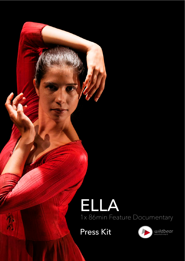# ELLA 1x 86min Feature Documentary



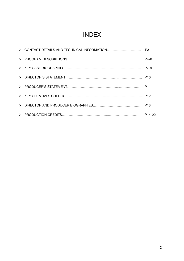# INDEX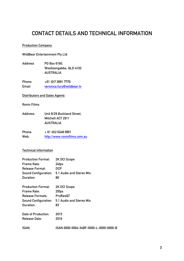### **CONTACT DETAILS AND TECHNICAL INFORMATION**

### **Production Company**

**WildBear Entertainment Pty Ltd**

**Address PO Box 6160, Woolloongabba, QLD 4102 AUSTRALIA**

**Phone: +61 (0)7 3891 7779 Email veronica.fury@wildbear.tv**

### **Distributors and Sales Agents**

**Ronin Films**

**Address: Unit 8/29 Buckland Street, Mitchell ACT 2911 AUSTRALIA**

| Phone: | $+61(0)262480851$            |
|--------|------------------------------|
| Web:   | http://www.roninfilms.com.au |

### **Technical Information**

| <b>Production Format:</b>   | 2K DCI Scope                                  |
|-----------------------------|-----------------------------------------------|
| Frame Rate:                 | 24fps                                         |
| Release Format:             | DCP                                           |
| <b>Sound Configuration:</b> | 5.1 Audio and Stereo Mix                      |
| Duration:                   | 86'                                           |
| <b>Production Format:</b>   | 2K DCI Scope                                  |
| Frame Rate:                 | 25fps                                         |
| Release Formats:            | ProResQT                                      |
|                             | Sound Configuration: 5.1 Audio and Stereo Mix |
| Duration:                   | 83'                                           |
| Date of Production:         | 2015                                          |
| Release Date:               | 2016                                          |
| ISAN:                       | ISAN 0000-0004-34BF-0000-L-0000-0000-B        |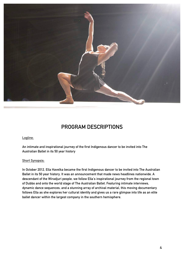

### **PROGRAM DESCRIPTIONS**

### **Logline:**

**An intimate and inspirational journey of the first Indigenous dancer to be invited into The Australian Ballet in its 50 year history**

### **Short Synopsis:**

**In October 2012, Ella Havelka became the first Indigenous dancer to be invited into The Australian Ballet in its 50 year history. It was an announcement that made news headlines nationwide. A descendant of the Wiradjuri people, we follow Ella's inspirational journey from the regional town of Dubbo and onto the world stage of The Australian Ballet. Featuring intimate interviews, dynamic dance sequences, and a stunning array of archival material, this moving documentary** follows Ella as she explores her cultural identity and gives us a rare glimpse into life as an elite **ballet dancer within the largest company in the southern hemisphere.**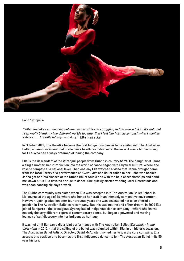

#### **Long Synopsis:**

"I often feel like I am dancing between two worlds and struggling to find where I fit in. It's not until I can really blend my two different worlds together that I feel like I can accomplish what I want as **<sup>a</sup> dancer … to really tell my own story." Ella Havelka**

**In October 2012, Ella Havelka became the first Indigenous dancer to be invited into The Australian Ballet, an announcement that made news headlines nationwide. However it was a homecoming for Ella, who had always dreamed of joining the company.**

**Ella is the descendant of the Wiradjuri people from Dubbo in country NSW. The daughter of Janna a single mother, her introduction into the world of dance began with Physical Culture, where she rose to compete at a national level. Then one day Ella watched a video that Janna brought home** from the local library of a performance of Swan Lake and ballet called to her - she was hooked. **Janna got her into classes at the Dubbo Ballet Studio and with the help of scholarships and handme-down tutus Ella devoted her life to dance. She quickly started winning local Eisteddfods and was soon dancing six days a week.**

**The Dubbo community was elated when Ella was accepted into The Australian Ballet School in Melbourne at the age of 14, where she honed her craft in an intensely competitive environment. However, upon graduation after four arduous years she was devastated not to be offered a** position in The Australian Ballet core company. But this was not the end of her dream. In 2009 Ella **joined Bangarra - the prestigious Sydney based Indigenous dance company - where she learnt not only the very different rigors of contemporary dance, but began a powerful and moving journey of self discovery into her Indigenous heritage.**

**It was not until Bangarra did a joint performance with The Australian Ballet Warumuk - in the** dark night in 2012 - that the calling of the ballet was reignited within Ella. In an historic occasion, **The Australian Ballet Artistic Director, David McAllister, invited her to join the core company. Ella accepts this position and becomes the first Indigenous dancer to join The Australian Ballet in its 50 year history.**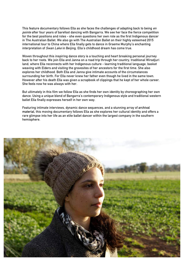**This feature documentary follows Ella as she faces the challenges of adapting back to being en pointe after four years of barefoot dancing with Bangarra. We see her face the fierce competition for the best positions and roles - she even questions her own role as the first Indigenous dancer in The Australian Ballet. We also go with The Australian Ballet on their highly esteemed 2015 international tour to China where Ella finally gets to dance in Graeme Murphy's enchanting interpretation of Swan Lake in Beijing. Ella's childhood dream has come true.**

**Woven throughout this inspiring dance story is a touching and heart breaking personal journey** back to her roots. We join Ella and Janna on a road trip through her country, traditional Wiradjuri **land, where Ella reconnects with her Indigenous culture - learning traditional language, basket weaving with Elders and visiting the gravesites of her ancestors for the first time. She also explores her childhood. Both Ella and Janna give intimate accounts of the circumstances surrounding her birth. For Ella never knew her father even though he lived in the same town. However after his death Ella was given a scrapbook of clippings that he kept of her whole career. She feels now he was always with her.**

**But ultimately in this film we follow Ella as she finds her own identity by choreographing her own dance. Using a unique blend of Bangarra's contemporary Indigenous style and traditional western ballet Ella finally expresses herself in her own way.**

**Featuring intimate interviews, dynamic dance sequences, and a stunning array of archival material, this moving documentary follows Ella as she explores her cultural identity and offers a rare glimpse into her life as an elite ballet dancer within the largest company in the southern hemisphere.**

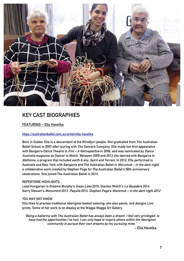

### **KEY CAST BIOGRAPHIES**

### **FEATURING – Ella Havelka**

### **https://australianballet.com.au/artist/ella-havelka**

**Born in Dubbo, Ella is a descendant of the Wiradjuri people. She graduated from The Australian Ballet School in 2007 after touring with The Dancers Company. Ella made her first appearance with Bangarra Dance Theatre in Fire – A Retrospective in 2009, and was nominated by Dance Australia magazine as Dancer to Watch. Between 2009 and 2012 she danced with Bangarra in Mathinna, a program that included earth & sky, Spirit and Terrain. In 2012, Ella performed in Australia and New York with Bangarra and The Australian Ballet in Warumuk – in the dark night, a collaborative work created by Stephen Page for The Australian Ballet's 50th anniversary celebrations. She joined The Australian Ballet in 2013.**

### **REPERTOIRE HIGHLIGHTS**

**Lead Hungarian in Graeme Murphy's Swan Lake 2015, Stanton Welch's La Bayadère 2014 Garry Stewart's Monument 2013, Paquita 2013, Stephen Page's Waramuk – in the dark night 2012**

### **YOU MAY NOT KNOW**

**Ella likes to practise traditional Aboriginal basket weaving; she also paints, and designs Lino prints. Some of her work is on display at the Wagga Wagga Art Gallery.**

**"Being <sup>a</sup> ballerina with The Australian Ballet has always been <sup>a</sup> dream. I feel very privileged to have had the opportunities I've had. I can only hope to inspire others within the Aboriginal community to pursue their own dreams by my pursuing mine."**

**– Ella Havelka**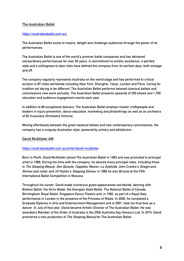### **The Australian Ballet**

### **https://australianballet.com.au/**

**The Australian Ballet exists to inspire, delight and challenge audiences through the power of its performances.**

**The Australian Ballet is one of the world's premier ballet companies and has delivered extraordinary performances for over 50 years. A commitment to artistic excellence, a spirited style and a willingness to take risks have defined the company from its earliest days, both onstage and off.**

**The company regularly represents Australia on the world stage and has performed to critical acclaim in 87 cities worldwide including New York, Shanghai, Tokyo, London and Paris. Caring for tradition yet daring to be different, The Australian Ballet performs beloved classical ballets and commissions new work annually. The Australian Ballet presents upwards of 250 shows and 1,700 education and audience engagement events each year.**

**In addition to 80 exceptional dancers, The Australian Ballet employs master craftspeople and leaders in injury prevention, dance education, marketing and philanthropy as well as an orchestra of 62 musicians (Orchestra Victoria).**

**Moving effortlessly between the great classical ballets and new contemporary commissions, the company has a uniquely Australian style, powered by artistry and athleticism.**

### **David McAllister AM**

### **https://australianballet.com.au/artist/david-mcallister**

**Born in Perth, David McAllister joined The Australian Ballet in 1983 and was promoted to principal artist in 1989. During his time with the company, he danced many principal roles, including those in The Sleeping Beauty, Don Quixote, Coppélia, Manon, La Sylphide, John Cranko's Onegin and** Romeo and Juliet, and Jiří Kylián's Stepping Stones; in 1985 he won Bronze at the Fifth **International Ballet Competition in Moscow.**

**Throughout his career, David made numerous guest appearances worldwide, dancing with Bolshoi Ballet, the Kirov Ballet, the Georgian State Ballet, The National Ballet of Canada, Birmingham Royal Ballet, Singapore Dance Theatre and, in 1992, as part of a Royal Gala performance in London in the presence of the Princess of Wales. In 2000, he completed a Graduate Diploma in Arts and Entertainment Management and in 2001, took his final bow as a dancer. In July of that year, David became Artistic Director of The Australian Ballet. He was awarded a Member of the Order of Australia in the 2004 Australia Day Honours List. In 2015, David premiered a new production of The Sleeping Beauty for The Australian Ballet.**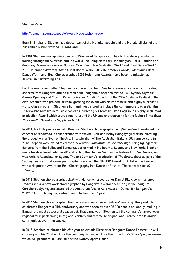### **Stephen Page**

#### **http://bangarra.com.au/people/executives/stephen-page**

**Born in Brisbane, Stephen is a descendant of the Nunukul people and the Munaldjali clan of the Yugambeh Nation from SE Queensland.**

**In 1991 Stephen was appointed Artistic Director of Bangarra and has built a strong reputation touring throughout Australia and the world, including New York, Washington, Paris, London and Germany. Memorable works Ochres, Skin ('Best New Australian Work' and 'Best Dance Work', 2001 Helpmann Awards), Bush ('Best Dance Work', 2004 Helpmann Awards), Mathinna ('Best Dance Work' and 'Best Choreography', 2009 Helpmann Awards) have become milestones in Australian performing arts.**

**For The Australian Ballet, Stephen has choreographed Rites to Stravinsky's score incorporating dancers from Bangarra and he directed the Indigenous sections for the 2000 Sydney Olympic Games Opening and Closing Ceremonies. As Artistic Director of the 2004 Adelaide Festival of the Arts, Stephen was praised for reinvigorating the event with an impressive and highly successful world-class program. Stephen's film and theatre credits include the contemporary operatic film Black River, numerous music video clips, directing his brother David Page in the highly acclaimed production Page 8 which toured Australia and the UK and choreography for the feature films Bran Nue Dae (2009) and The Sapphires (2011).**

**In 2011, his 20th year as Artistic Director, Stephen choreographed ID, (Belong) and developed the concept of Bloodland in collaboration with Wayne Blair and Kathy Balngayngu Marika, directing the production for Sydney Theatre. In celebration of The Australian Ballet's 50th anniversary in 2012, Stephen was invited to create a new work Warumuk – in the dark night bringing together dancers from the Ballet and Bangarra, performed in Melbourne, Sydney and New York. Stephen made his directorial debut in 2012, directing the chapter Sand in the feature film The Turning and was Artistic Associate for Sydney Theatre Company's production of The Secret River as part of the Sydney Festival. That same year Stephen received the NAIDOC Award for Artist of the Year and won a Helpmann Award for Best Choreography in a Dance or Physical Theatre work for ID (Belong).**

**In 2013 Stephen choreographed Blak with dancer/choreographer Daniel Riley, commissioned Dance Clan 3, a new work choreographed by Bangarra's women featuring in the inaugural Corroboree Sydney and accepted the Australian Arts in Asia Award – Dance, for Bangarra's 2012/13 tour to Mongolia, Vietnam and Thailand with Spirit.**

**In 2014 Stephen choreographed Bangarra's acclaimed new work Patyegarang. This production celebrated Bangarra's 25th anniversary and was seen by over 36,000 people nationally, making it Bangarra's most successful season yet. That same year, Stephen led the company's largest ever regional tour, performing in regional centres and remote Aboriginal and Torres Strait Islander communities over nine weeks.**

**In 2016, Stephen celebrates his 25th year as Artistic Director of Bangarra Dance Theatre. He will choreograph his 23rd work for the company, a new work for the triple bill OUR land people stories which will premiere in June 2016 at the Sydney Opera House.**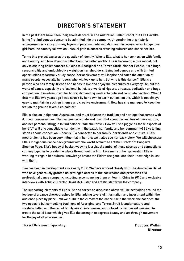# **DIRECTOR'S STATEMENT**

**In the past there have been Indigenous dancers in The Australian Ballet School, but Ella Havelka is the first Indigenous dancer to be admitted into the company. Underpinning this historic achievement is a story of many layers of personal determination and discovery, as an Indigenous girl from the country follows an unusual path to success crossing cultures and dance sectors.**

To me this project explores the question of Identity. Who is Ella, what is her connection with family **and Country, and how does this differ from the ballet world? Ella is becoming a role model, not only to aspiring ballet dancers but also to Aboriginal and Torres Strait Islander People. It's a huge responsibility and undoubtedly a weight on her shoulders. Being Indigenous and with limited opportunities to formally study dance, her achievement will inspire and catch the attention of many people, especially her peers who will look up to her. But who is this dancer? Ella is a person who has family, friends and needs to live and enjoy the pleasures of everyday life, but the world of dance, especially professional ballet, is a world of rigours, stresses, dedication and huge competition. It involves irregular hours, demanding work schedule and complete devotion. When I** first met Ella two years ago I was struck by her down to earth outlook on life, which is not always **easy to maintain in such an intense and creative environment. How has she managed to keep her feet on the ground (even if en pointe)?**

**Ella is also an Indigenous Australian, and must balance the tradition and heritage that comes with it. In our conversations Ella has been articulate and insightful about the realities of these worlds,** and her personal struggle to find balance. Will she thrive? How will she juggle all these aspects of her life? Will she consolidate her identity in the ballet, her family and her community? I like telling **stories about 'connection' - how is Ella connected to her family, her friends and culture. Ella's mother Jenna has been very influential in her life; we'll also see her back-story. We will showcase Ella's Indigenous dance background with the world acclaimed artistic Director of Bangarra, Stephen Page. Ella's hobby of basket weaving is a visual symbol of these strands and connections coming together to create the whole throughout the film. Like many of her generation Ella is working to regain her cultural knowledge before the Elders are gone, and their knowledge is lost with them.**

**Ella has been in development since early 2012. We have worked closely with The Australian Ballet who have generously granted us privileged access to the backrooms and processes of a professional dance company, including accompanying them on tour in China in 2015 and exclusive interviews with Artistic Director David McAllister and artistic staff from the company.** 

**The supporting elements of Ella's life and career as discussed above will be scaffolded around the footage of a dance choreographed by Ella: adding layers of information and investment within the** audience piece by piece until we build to the climax of the dance itself; the work; the sacrifice; the **two opposite but compelling traditions of Aboriginal and Torres Strait Islander culture and western ballet; and the call of family are all interwoven, symbolised by her basket weaving, to create the solid base which gives Ella the strength to express beauty and art through movement for the joy of all who see her.**

**This is Ella's own unique story. Douglas Watkin**

**Director**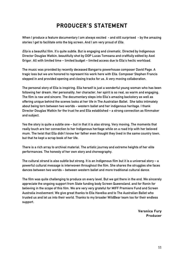## **PRODUCER'S STATEMENT**

**When I produce a feature documentary I am always excited - and still surprised - by the amazing stories I get to facilitate onto the big screen. And I am very proud of Ella.**

**Ella is a beautiful film. It's quite subtle. But is engaging and cinematic. Directed by Indigenous Director Douglas Watkin, beautifully shot by DOP Lucas Tomoana and craftfully edited by Axel Grigor. All with limited time – limited budget – limited access due to Ella's hectic workload.**

**The music was provided by recently deceased Bangarra powerhouse composer David Page. A tragic loss but we are honored to represent his work here with Ella. Composer Stephen Francis stepped in and provided opening and closing tracks for us. A very moving collaboration.**

**The personal story of Ella is inspiring. Ella herself is just a wonderful young woman who has been following her dream. Her personality, her character, her spirit is so real, so warm and engaging. The film is raw and sincere. The documentary steps into Ella's amazing backstory as well as offering unique behind the scenes looks at her life in The Australian Ballet. She talks intimately about being torn between two worlds - western ballet and her indigenous heritage. I thank Director Douglas Watkin for the trust he and Ella established – a strong connection as filmmaker and subject.**

Yes the story is quite a subtle one - but in that it is also strong. Very moving. The moments that **really touch are her connection to her Indigenous heritage while on a road trip with her beloved mum. The twist that Ella didn't know her father even thought they lived in the same country town, but that he kept a scrap book of her life.**

**There is a rich array to archival material. The artistic journey and extreme heights of her elite performances. The honesty of her own story and choreography.** 

The cultural strand is also subtle but strong. It is an Indigenous film but it is a universal story  $-$  a **powerful cultural message is interwoven throughout the film. She shares the struggles she faces dances between two worlds – between western ballet and more traditional cultural dance.**

The film was quite challenging to produce on every level. But we got there in the end. We sincerely **appreciate the ongoing support from State funding body Screen Queensland, and for Ronin for believing in the scope of this film. We are very very grateful for MIFF Premiere Fund and Screen Australia involvement. We give great thanks to Ella Havelka and to The Australian Ballet who trusted us and let us into their world. Thanks to my broader WildBear team too for their endless support.**

> **Veronica Fury Producer**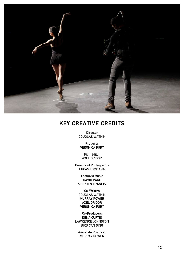

### **KEY CREATIVE CREDITS**

**Director DOUGLAS WATKIN**

**Producer VERONICA FURY**

**Film Editor AXEL GRIGOR**

**Director of Photography LUCAS TOMOANA**

**Featured Music DAVID PAGE STEPHEN FRANCIS**

**Co-Writers DOUGLAS WATKIN MURRAY POWER AXEL GRIGOR VERONICA FURY**

**Co-Producers DENA CURTIS LAWRENCE JOHNSTON BIRD CAN SING**

**Associate Producer MURRAY POWER**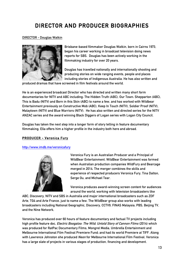# **DIRECTOR AND PRODUCER BIOGRAPHIES**

### **DIRECTOR - Douglas Watkin**



**Brisbane-based filmmaker Douglas Watkin, born in Cairns 1973, began his career working in broadcast television doing news reports for SBS. Douglas has been actively working in the filmmaking industry for over 20 years.**

**Douglas has travelled nationally and internationally shooting and producing stories on wide ranging events, people and places including stories of Indigenous Australia. He has also written and**

**produced dramas that have screened in film festivals around the world.**

**He is an experienced broadcast Director who has directed and written many short form documentaries for NITV and ABC including: The Hidden Truth (ABC), Our Town: Shepparton (ABC), This is Badu (NITV) and Born in this Skin (ABC) to name a few, and has worked with Wildbear Entertainment previously on Constructive Mob (ABC), Keep In Touch (NITV), Soldier Proof (NITV), Malaytown (NITV) and Blue Warriors (NITV). He has also written and directed series for the NITV ANZAC series and the award winning Black Diggers of Logan series with Logan City Council.**

**Douglas has taken the next step into a longer form of story telling in feature documentary filmmaking. Ella offers him a higher profile in the industry both here and abroad.**

### **PRODUCER - Veronica Fury**

### **http://www.imdb.me/veronicafury**



**Veronica Fury is an Australian Producer and a Principal of WildBear Entertainment. WildBear Entertainment was formed when Australian production companies WildFury and Bearcage merged in 2014. The merger combines the skills and experience of respected producers Veronica Fury, Tina Dalton, Serge Ou, and Michael Tear.**

**Veronica produces award-winning screen content for audiences around the world, working with television broadcasters like**

**ABC, Discovery, NITV and SBS in Australia and major international broadcasters such as ZDF Arte, TG4 and Arte France, just to name a few. The WildBear group also works with leading broadcasters including National Geographic, Discovery, CCTV9, FINAS Malaysia, PBS, Beijing TV, and the Nine Network.**

**Veronica has produced over 60 hours of feature documentary and factual TV projects including high profile feature doc, Electric Boogaloo: The Wild, Untold Story of Cannon Films (2014) which was produced for RatPac Documentary Films, Mongrel Media, Umbrella Entertainment and Melbourne International Film Festival Premiere Fund; and had its world Premiere at TIFF. Along with Lawrence Johnston she produced Neon for Melbourne International Film Festival. Veronica has a large slate of projects in various stages of production, financing and development.**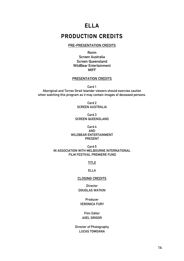### **ELLA**

### **PRODUCTION CREDITS**

### **PRE-PRESENTATION CREDITS**

**Ronin Screen Australia Screen Queensland WildBear Entertainment**

**MIFF**

#### **PRESENTATION CREDITS**

**Card 1 Aboriginal and Torres Strait Islander viewers should exercise caution when watching this program as it may contain images of deceased persons.**

> **Card 2 SCREEN AUSTRALIA**

**Card 3 SCREEN QUEENSLAND**

**Card 4 AND WILDBEAR ENTERTAINMENT PRESENT**

**Card 5 IN ASSOCIATION WITH MELBOURNE INTERNATIONAL FILM FESTIVAL PREMIERE FUND**

**TITLE**

**ELLA**

### **CLOSING CREDITS**

**Director DOUGLAS WATKIN**

**Producer VERONICA FURY**

**Film Editor AXEL GRIGOR**

**Director of Photography LUCAS TOMOANA**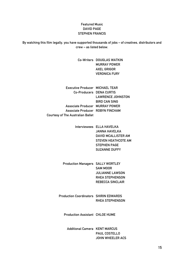### **Featured Music DAVID PAGE STEPHEN FRANCIS**

**By watching this film legally, you have supported thousands of jobs – of creatives, distributors and crew – as listed below.**

> **Co-Writers DOUGLAS WATKIN MURRAY POWER AXEL GRIGOR VERONICA FURY**

**Executive Producer MICHAEL TEAR Co-Producers DENA CURTIS Associate Producer MURRAY POWER Associate Producer ROBYN FINCHAM Courtesy of The Australian Ballet LAWRENCE JOHNSTON BIRD CAN SING**

> **Interviewees ELLA HAVELKA JANNA HAVELKA DAVID MCALLISTER AM STEVEN HEATHCOTE AM STEPHEN PAGE SUZANNE DUFFY**

**Production Managers SALLY WORTLEY SAM MOOR JULIANNE LAWSON RHEA STEPHENSON REBECCA SINCLAIR**

**Production Coordinators SHIRIN EDWARDS RHEA STEPHENSON**

**Production Assistant CHLOE HUME**

**Additional Camera KENT MARCUS PAUL COSTELLO JOHN WHEELER ACS**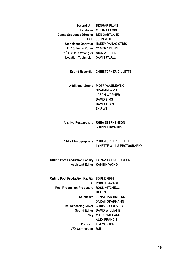|                                              | <b>Second Unit BENGAR FILMS</b>             |
|----------------------------------------------|---------------------------------------------|
|                                              | Producer MELINA FLOOD                       |
| Dance Sequence Director BEN GARTLAND         |                                             |
|                                              | DOP JOHN WHEELER                            |
|                                              | <b>Steadicam Operator HARRY PANAGIOTDIS</b> |
| 1st AC/Focus Puller CAMERA DUNN              |                                             |
| 2 <sup>nd</sup> AC/Data Wrangler NICK WELLER |                                             |
| <b>Location Technician GAVIN FAULL</b>       |                                             |
|                                              |                                             |

**Sound Recordist CHRISTOPHER GILLETTE**

**Additional Sound PIOTR WASILEWSKI GRAHAM WYSE JASON WAGNER DAVID SIMS DAVID TRANTER ZHU WEI**

### **Archive Researchers RHEA STEPHENSON SHIRIN EDWARDS**

**Stills Photographers CHRISTOPHER GILLETTE LYNETTE WILLS PHOTOGRAPHY**

**Offline Post Production Facility FARAWAY PRODUCTIONS Assistant Editor KAI-BIN WONG**

| <b>Online Post Production Facility SOUNDFIRM</b> |                                      |
|--------------------------------------------------|--------------------------------------|
|                                                  | <b>CEO ROGER SAVAGE</b>              |
| <b>Post Production Producers ROSS MITCHELL</b>   |                                      |
|                                                  | HEL EN FIEL D                        |
|                                                  | <b>Colourists JONATHAN BURTON</b>    |
|                                                  | <b>SARAH SPARNANN</b>                |
|                                                  | Re-Recording Mixer CHRIS GOODES, CAS |
|                                                  | Sound Editor DAVID WILLIAMS          |
|                                                  | Foley MARIO VACCARO                  |
|                                                  | <b>ALEX FRANCIS</b>                  |
|                                                  | Conform TIM MORTON                   |
| <b>VFX Compositor RUILI</b>                      |                                      |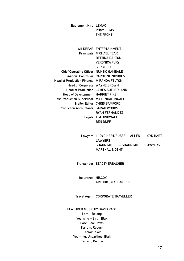**Equipment Hire LEMAC PONY FILMS THE FRONT**

| <b>WILDBEAR</b>                   | <b>ENTERTAINMENT</b>    |
|-----------------------------------|-------------------------|
| <b>Principals</b>                 | <b>MICHAEL TEAR</b>     |
|                                   | BETTINA DALTON          |
|                                   | <b>VERONICA FURY</b>    |
|                                   | <b>SERGE OU</b>         |
| <b>Chief Operating Officer</b>    | <b>NUNZIO GAMBALE</b>   |
| <b>Financial Controller</b>       | <b>CAROLINE NICHOLS</b> |
| <b>Head of Production Finance</b> | MIRANDA FELTON          |
| <b>Head of Corporate</b>          | <b>WAYNE BROWN</b>      |
| <b>Head of Production</b>         | <b>JAMES SUTHERLAND</b> |
| <b>Head of Development</b>        | <b>HARRIET PIKE</b>     |
| <b>Post Production Supervisor</b> | <b>MATT NIGHTINGALE</b> |
| Trailer Editor                    | <b>CHRIS BAMFORD</b>    |
| <b>Production Accountants</b>     | SARAH WOODS             |
|                                   | <b>RYAN FERNANDEZ</b>   |
| Legals                            | <b>TIM DINGWALL</b>     |
|                                   | BEN DUFF                |

**Lawyers LLOYD HART/RUSSELL ALLEN – LLOYD HART LAWYERS SHAUN MILLER – SHAUN MILLER LAWYERS MARSHAL & DENT**

**Transcriber STACEY ERBACHER**

**Insurance HISCOX ARTHUR J GALLAGHER**

**Travel Agent CORPORATE TRAVELLER**

**FEATURED MUSIC BY DAVID PAGE I am – Belong Yearning – Birth, Blak Lore, Cool Down Terrain, Reborn Terrain, Salt Yearning, Unearthed, Blak Terrain, Deluge**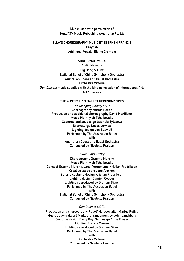**Music used with permission of Sony/ATV Music Publishing (Australia) Pty Ltd**

**ELLA'S CHOREOGRAPHY MUSIC BY STEPHEN FRANCIS Crayfish Additional Vocals, Elaine Crombie**

**ADDITIONAL MUSIC Audio Network Big Bang & Fuzz National Ballet of China Symphony Orchestra Australian Opera and Ballet Orchestra Orchestra Victoria Don Quixote music supplied with the kind permission of International Arts ABC Classics**

#### **THE AUSTRALIAN BALLET PERFORMANCES**

**The Sleeping Beauty (2015) Choreography Marius Petipa Production and additional choreography David McAllister Music Piotr Ilyich Tchaikovsky Costume and set design Gabriela Tylesova Dramaturge Lucas Jervies Lighting design Jon Buswell Performed by The Australian Ballet with Australian Opera and Ballet Orchestra Conducted by Nicolette Fraillon** 

**Swan Lake (2015)** 

**Choreography Graeme Murphy Music Piotr Ilyich Tchaikovsky Concept Graeme Murphy, Janet Vernon and Kristian Fredrikson Creative associate Janet Vernon Set and costume design Kristian Fredrikson Lighting design Damien Cooper Lighting reproduced by Graham Silver Performed by The Australian Ballet with National Ballet of China Symphony Orchestra Conducted by Nicolette Fraillon**

#### **Don Quixote (2013)**

**Production and choreography Rudolf Nureyev after Marius Petipa Music Ludwig (Léon) Minkus, arrangement by John Lanchbery Costume design Barry Kay, Set design Anne Fraser Lighting Francis Croese Lighting reproduced by Graham Silver Performed by The Australian Ballet with Orchestra Victoria Conducted by Nicolette Fraillon**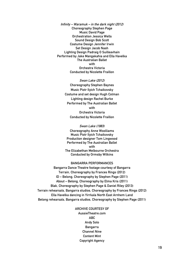**Infinity – Waramuk – in the dark night (2012) Choreography Stephen Page Music David Page Orchestration Jessica Wells Sound Design Bob Scott Costume Design Jennifer Irwin Set Design Jacob Nash Lighting Design Padraig O Suilleavhain Performed by Jake Mangakahia and Ella Havelka The Australian Ballet with Orchestra Victoria Conducted by Nicolette Fraillon**

> **Swan Lake (2012) Choreography Stephen Baynes Music Piotr Ilyich Tchaikovsky Costume and set design Hugh Colman Lighting design Rachel Burke Performed by The Australian Ballet with Orchestra Victoria Conducted by Nicolette Fraillon**

> **Swan Lake (1983) Choreography Anne Woolliams Music Piotr Ilyich Tchaikovsky Production designer Tom Lingwood Performed by The Australian Ballet with The Elizabethan Melbourne Orchestra Conducted by Ormsby Wilkins**

**BANGARRA PERFORMANCES**

**Bangarra Dance Theatre footage courtesy of Bangarra Terrain, Choreography by Frances Rings (2012) ID – Belong, Choreography by Stephen Page (2011) About – Belong, Choreography by Elma Kris (2011) Blak, Choreography by Stephen Page & Daniel Riley (2013) Terrain rehearsals, Bangarra studios, Choreography by Frances Rings (2012) Ella Havelka dancing in Yirrkala North East Arnhem Land Belong rehearsals, Bangarra studios, Choreography by Stephen Page (2011)**

### **ARCHIVE COURTESY OF**

**AussieTheatre.com ABC Andy Solo Bangarra Channel Nine Content Mint Copyright Agency**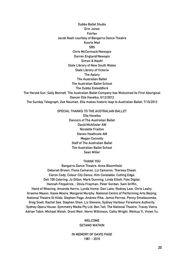**Dubbo Ballet Studio Erin Jones Fairfax Jacob Nash courtesy of Bangarra Dance Theatre Koorie Mail SBS Chris McCormack/Newspix Darren England/Newspix Simon & Nasht State Library of New South Wales State Library of Victoria The Apiary The Australian Ballet The Australian Ballet School The Dubbo Eisteddford The Herald Sun, Sally Bennett, The Australian Ballet Company has Welcomed its First Aboriginal Dancer Ella Havelka, 9/12/2012 The Sunday Telegraph, Zoe Neuman, Ella makes historic leap to Australian Ballet, 7/10/2012**

### **SPECIAL THANKS TO THE AUSTRALIAN BALLET**

**Ella Havelka Dancers of The Australian Ballet David McAllister AM Nicolette Fraillon Steven Heathcote AM Megan Connelly Staff of The Australian Ballet The Australian Ballet School Sean Miller**

#### **THANK YOU**

**Bangarra Dance Theatre, Anna Bloomfield, Deborah Brown, Fiona Cameron, Liz Cameron, Theresa Cheah, Cieron Cody, Colour City Dance, Kim Constable, Cutting Edge, Deli 100 Catering, Jo Dillon, Mark Dunning, Linda Elliott, Fats Digital, Hannah Fitzpatrick, , Olivia Frayman, Peter Gordan, Sam Griffin, Hand of Weaving, Amanda Harris, Lynda Hume, Dan Lake, Rodney Law, Chris Leahy, Graeme Mason, Kasie Moore, Margaret Murphy, National Centre of Performing Arts Beijing, National Theatre St Kilda, Stephen Page, Andrew Pike, Jamie Perrow, Penny Smallacombe, Greg Snell, Rachel See, Stephen Shen, Liz Stevens, Sydney Harbour Foreshore Authority, Sydney Opera House, Symmetry Media Pty Ltd, Ben Tait, The National Theatre, Tracey Vieira, Adrian Tobin, Michael Walsh, Grant Weir, Norm Wilkinson, Cathy Wright, Weihua Yi, Vivien Yu,**

> **WELCOME GETANO WATKIN**

**IN MEMORY OF DAVID PAGE 1961 - 2016**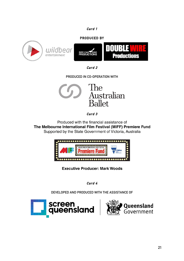### **Card 1**

### **PRODUCED BY**



**Card 2** 

**PRODUCED IN CO-OPERATION WITH**



**Card 3** 

Produced with the financial assistance of The Melbourne International Film Festival (MIFF) Premiere Fund Supported by the State Government of Victoria, Australia



**Executive Producer: Mark Woods** 

**Card 4** 

**DEVELOPED AND PRODUCED WITH THE ASSISTANCE OF**